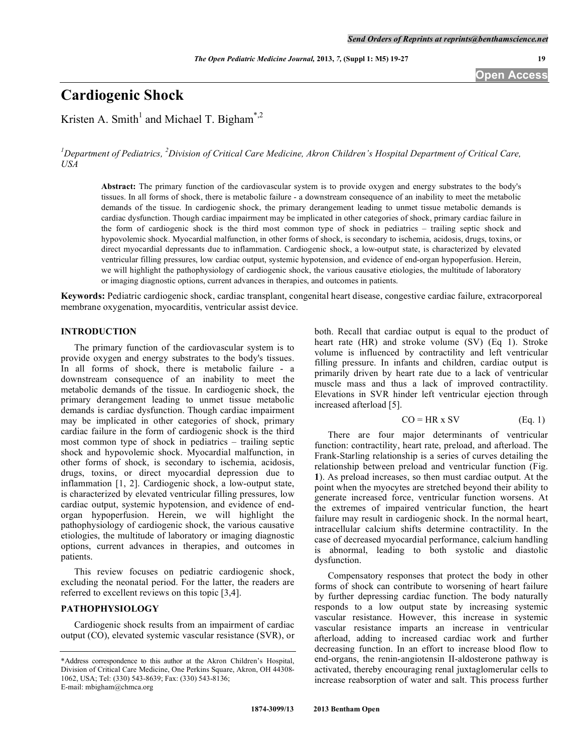*The Open Pediatric Medicine Journal,* **2013,** *7,* **(Suppl 1: M5) 19-27 19**

# **Cardiogenic Shock**

Kristen A. Smith<sup>1</sup> and Michael T. Bigham<sup>\*,2</sup>

<sup>1</sup>Department of Pediatrics, <sup>2</sup>Division of Critical Care Medicine, Akron Children's Hospital Department of Critical Care, *USA* 

**Abstract:** The primary function of the cardiovascular system is to provide oxygen and energy substrates to the body's tissues. In all forms of shock, there is metabolic failure - a downstream consequence of an inability to meet the metabolic demands of the tissue. In cardiogenic shock, the primary derangement leading to unmet tissue metabolic demands is cardiac dysfunction. Though cardiac impairment may be implicated in other categories of shock, primary cardiac failure in the form of cardiogenic shock is the third most common type of shock in pediatrics – trailing septic shock and hypovolemic shock. Myocardial malfunction, in other forms of shock, is secondary to ischemia, acidosis, drugs, toxins, or direct myocardial depressants due to inflammation. Cardiogenic shock, a low-output state, is characterized by elevated ventricular filling pressures, low cardiac output, systemic hypotension, and evidence of end-organ hypoperfusion. Herein, we will highlight the pathophysiology of cardiogenic shock, the various causative etiologies, the multitude of laboratory or imaging diagnostic options, current advances in therapies, and outcomes in patients.

**Keywords:** Pediatric cardiogenic shock, cardiac transplant, congenital heart disease, congestive cardiac failure, extracorporeal membrane oxygenation, myocarditis, ventricular assist device.

# **INTRODUCTION**

 The primary function of the cardiovascular system is to provide oxygen and energy substrates to the body's tissues. In all forms of shock, there is metabolic failure - a downstream consequence of an inability to meet the metabolic demands of the tissue. In cardiogenic shock, the primary derangement leading to unmet tissue metabolic demands is cardiac dysfunction. Though cardiac impairment may be implicated in other categories of shock, primary cardiac failure in the form of cardiogenic shock is the third most common type of shock in pediatrics – trailing septic shock and hypovolemic shock. Myocardial malfunction, in other forms of shock, is secondary to ischemia, acidosis, drugs, toxins, or direct myocardial depression due to inflammation [1, 2]. Cardiogenic shock, a low-output state, is characterized by elevated ventricular filling pressures, low cardiac output, systemic hypotension, and evidence of endorgan hypoperfusion. Herein, we will highlight the pathophysiology of cardiogenic shock, the various causative etiologies, the multitude of laboratory or imaging diagnostic options, current advances in therapies, and outcomes in patients.

 This review focuses on pediatric cardiogenic shock, excluding the neonatal period. For the latter, the readers are referred to excellent reviews on this topic [3,4].

# **PATHOPHYSIOLOGY**

 Cardiogenic shock results from an impairment of cardiac output (CO), elevated systemic vascular resistance (SVR), or both. Recall that cardiac output is equal to the product of heart rate (HR) and stroke volume (SV) (Eq 1). Stroke volume is influenced by contractility and left ventricular filling pressure. In infants and children, cardiac output is primarily driven by heart rate due to a lack of ventricular muscle mass and thus a lack of improved contractility. Elevations in SVR hinder left ventricular ejection through increased afterload [5].

$$
CO = HR \times SV
$$
 (Eq. 1)

 There are four major determinants of ventricular function: contractility, heart rate, preload, and afterload. The Frank-Starling relationship is a series of curves detailing the relationship between preload and ventricular function (Fig. **1**). As preload increases, so then must cardiac output. At the point when the myocytes are stretched beyond their ability to generate increased force, ventricular function worsens. At the extremes of impaired ventricular function, the heart failure may result in cardiogenic shock. In the normal heart, intracellular calcium shifts determine contractility. In the case of decreased myocardial performance, calcium handling is abnormal, leading to both systolic and diastolic dysfunction.

 Compensatory responses that protect the body in other forms of shock can contribute to worsening of heart failure by further depressing cardiac function. The body naturally responds to a low output state by increasing systemic vascular resistance. However, this increase in systemic vascular resistance imparts an increase in ventricular afterload, adding to increased cardiac work and further decreasing function. In an effort to increase blood flow to end-organs, the renin-angiotensin II-aldosterone pathway is activated, thereby encouraging renal juxtaglomerular cells to increase reabsorption of water and salt. This process further

<sup>\*</sup>Address correspondence to this author at the Akron Children's Hospital, Division of Critical Care Medicine, One Perkins Square, Akron, OH 44308- 1062, USA; Tel: (330) 543-8639; Fax: (330) 543-8136; E-mail: mbigham@chmca.org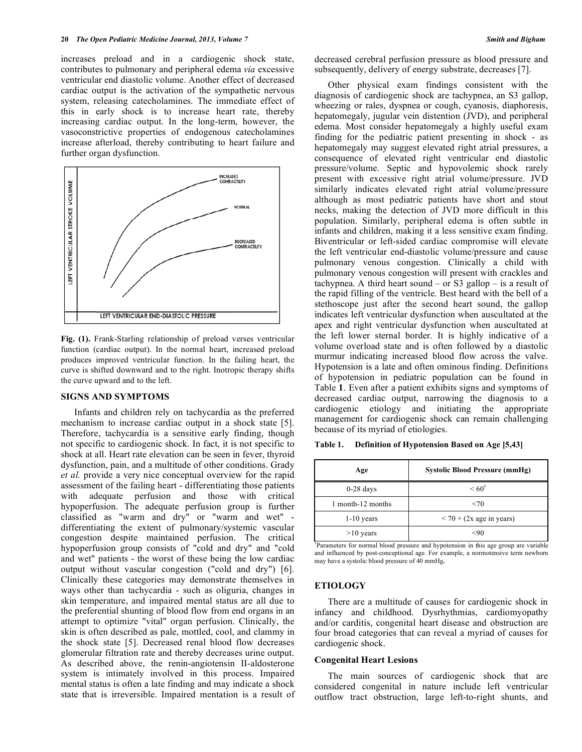increases preload and in a cardiogenic shock state, contributes to pulmonary and peripheral edema *via* excessive ventricular end diastolic volume. Another effect of decreased cardiac output is the activation of the sympathetic nervous system, releasing catecholamines. The immediate effect of this in early shock is to increase heart rate, thereby increasing cardiac output. In the long-term, however, the vasoconstrictive properties of endogenous catecholamines increase afterload, thereby contributing to heart failure and further organ dysfunction.



**Fig. (1).** Frank-Starling relationship of preload verses ventricular function (cardiac output). In the normal heart, increased preload produces improved ventricular function. In the failing heart, the curve is shifted downward and to the right. Inotropic therapy shifts the curve upward and to the left.

# **SIGNS AND SYMPTOMS**

 Infants and children rely on tachycardia as the preferred mechanism to increase cardiac output in a shock state [5]. Therefore, tachycardia is a sensitive early finding, though not specific to cardiogenic shock. In fact, it is not specific to shock at all. Heart rate elevation can be seen in fever, thyroid dysfunction, pain, and a multitude of other conditions. Grady *et al.* provide a very nice conceptual overview for the rapid assessment of the failing heart - differentiating those patients with adequate perfusion and those with critical hypoperfusion. The adequate perfusion group is further classified as "warm and dry" or "warm and wet" differentiating the extent of pulmonary/systemic vascular congestion despite maintained perfusion. The critical hypoperfusion group consists of "cold and dry" and "cold and wet" patients - the worst of these being the low cardiac output without vascular congestion ("cold and dry") [6]. Clinically these categories may demonstrate themselves in ways other than tachycardia - such as oliguria, changes in skin temperature, and impaired mental status are all due to the preferential shunting of blood flow from end organs in an attempt to optimize "vital" organ perfusion. Clinically, the skin is often described as pale, mottled, cool, and clammy in the shock state [5]. Decreased renal blood flow decreases glomerular filtration rate and thereby decreases urine output. As described above, the renin-angiotensin II-aldosterone system is intimately involved in this process. Impaired mental status is often a late finding and may indicate a shock state that is irreversible. Impaired mentation is a result of decreased cerebral perfusion pressure as blood pressure and subsequently, delivery of energy substrate, decreases [7].

 Other physical exam findings consistent with the diagnosis of cardiogenic shock are tachypnea, an S3 gallop, wheezing or rales, dyspnea or cough, cyanosis, diaphoresis, hepatomegaly, jugular vein distention (JVD), and peripheral edema. Most consider hepatomegaly a highly useful exam finding for the pediatric patient presenting in shock - as hepatomegaly may suggest elevated right atrial pressures, a consequence of elevated right ventricular end diastolic pressure/volume. Septic and hypovolemic shock rarely present with excessive right atrial volume/pressure. JVD similarly indicates elevated right atrial volume/pressure although as most pediatric patients have short and stout necks, making the detection of JVD more difficult in this population. Similarly, peripheral edema is often subtle in infants and children, making it a less sensitive exam finding. Biventricular or left-sided cardiac compromise will elevate the left ventricular end-diastolic volume/pressure and cause pulmonary venous congestion. Clinically a child with pulmonary venous congestion will present with crackles and tachypnea. A third heart sound – or S3 gallop – is a result of the rapid filling of the ventricle. Best heard with the bell of a stethoscope just after the second heart sound, the gallop indicates left ventricular dysfunction when auscultated at the apex and right ventricular dysfunction when auscultated at the left lower sternal border. It is highly indicative of a volume overload state and is often followed by a diastolic murmur indicating increased blood flow across the valve. Hypotension is a late and often ominous finding. Definitions of hypotension in pediatric population can be found in Table **1**. Even after a patient exhibits signs and symptoms of decreased cardiac output, narrowing the diagnosis to a cardiogenic etiology and initiating the appropriate management for cardiogenic shock can remain challenging because of its myriad of etiologies.

**Table 1. Definition of Hypotension Based on Age [5,43]** 

| Age               | <b>Systolic Blood Pressure (mmHg)</b> |
|-------------------|---------------------------------------|
| $0-28$ days       | $\leq 60^{\dagger}$                   |
| 1 month-12 months | <70                                   |
| $1-10$ years      | $<$ 70 + (2x age in years)            |
| $>10$ years       | 9٢)                                   |

† Parameters for normal blood pressure and hypotension in this age group are variable and influenced by post-conceptional age. For example, a normotensive term newborn may have a systolic blood pressure of 40 mmHg**.** 

## **ETIOLOGY**

 There are a multitude of causes for cardiogenic shock in infancy and childhood. Dysrhythmias, cardiomyopathy and/or carditis, congenital heart disease and obstruction are four broad categories that can reveal a myriad of causes for cardiogenic shock.

## **Congenital Heart Lesions**

 The main sources of cardiogenic shock that are considered congenital in nature include left ventricular outflow tract obstruction, large left-to-right shunts, and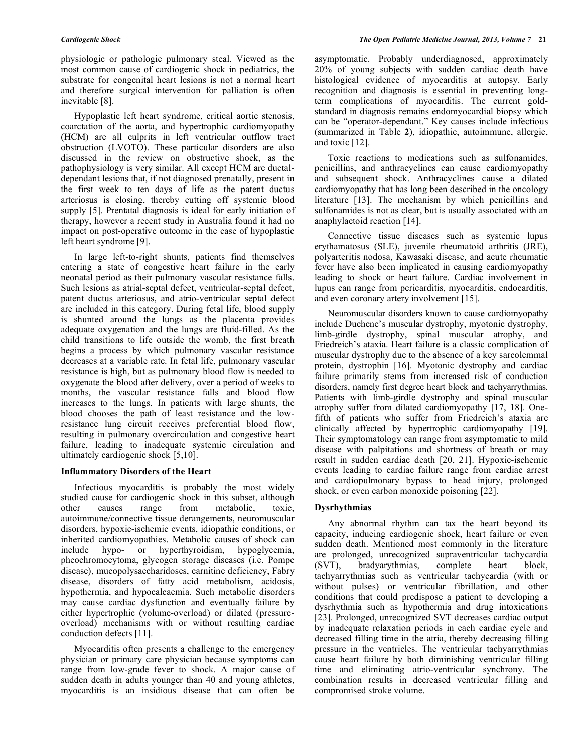physiologic or pathologic pulmonary steal. Viewed as the most common cause of cardiogenic shock in pediatrics, the substrate for congenital heart lesions is not a normal heart and therefore surgical intervention for palliation is often inevitable [8].

 Hypoplastic left heart syndrome, critical aortic stenosis, coarctation of the aorta, and hypertrophic cardiomyopathy (HCM) are all culprits in left ventricular outflow tract obstruction (LVOTO). These particular disorders are also discussed in the review on obstructive shock, as the pathophysiology is very similar. All except HCM are ductaldependant lesions that, if not diagnosed prenatally, present in the first week to ten days of life as the patent ductus arteriosus is closing, thereby cutting off systemic blood supply [5]. Prentatal diagnosis is ideal for early initiation of therapy, however a recent study in Australia found it had no impact on post-operative outcome in the case of hypoplastic left heart syndrome [9].

 In large left-to-right shunts, patients find themselves entering a state of congestive heart failure in the early neonatal period as their pulmonary vascular resistance falls. Such lesions as atrial-septal defect, ventricular-septal defect, patent ductus arteriosus, and atrio-ventricular septal defect are included in this category. During fetal life, blood supply is shunted around the lungs as the placenta provides adequate oxygenation and the lungs are fluid-filled. As the child transitions to life outside the womb, the first breath begins a process by which pulmonary vascular resistance decreases at a variable rate. In fetal life, pulmonary vascular resistance is high, but as pulmonary blood flow is needed to oxygenate the blood after delivery, over a period of weeks to months, the vascular resistance falls and blood flow increases to the lungs. In patients with large shunts, the blood chooses the path of least resistance and the lowresistance lung circuit receives preferential blood flow, resulting in pulmonary overcirculation and congestive heart failure, leading to inadequate systemic circulation and ultimately cardiogenic shock [5,10].

#### **Inflammatory Disorders of the Heart**

 Infectious myocarditis is probably the most widely studied cause for cardiogenic shock in this subset, although other causes range from metabolic, toxic, autoimmune/connective tissue derangements, neuromuscular disorders, hypoxic-ischemic events, idiopathic conditions, or inherited cardiomyopathies. Metabolic causes of shock can include hypo- or hyperthyroidism, hypoglycemia, pheochromocytoma, glycogen storage diseases (i.e. Pompe disease), mucopolysaccharidoses, carnitine deficiency, Fabry disease, disorders of fatty acid metabolism, acidosis, hypothermia, and hypocalcaemia. Such metabolic disorders may cause cardiac dysfunction and eventually failure by either hypertrophic (volume-overload) or dilated (pressureoverload) mechanisms with or without resulting cardiac conduction defects [11].

 Myocarditis often presents a challenge to the emergency physician or primary care physician because symptoms can range from low-grade fever to shock. A major cause of sudden death in adults younger than 40 and young athletes, myocarditis is an insidious disease that can often be

asymptomatic. Probably underdiagnosed, approximately 20% of young subjects with sudden cardiac death have histological evidence of myocarditis at autopsy. Early recognition and diagnosis is essential in preventing longterm complications of myocarditis. The current goldstandard in diagnosis remains endomyocardial biopsy which can be "operator-dependant." Key causes include infectious (summarized in Table **2**), idiopathic, autoimmune, allergic, and toxic [12].

 Toxic reactions to medications such as sulfonamides, penicillins, and anthracyclines can cause cardiomyopathy and subsequent shock. Anthracyclines cause a dilated cardiomyopathy that has long been described in the oncology literature [13]. The mechanism by which penicillins and sulfonamides is not as clear, but is usually associated with an anaphylactoid reaction [14].

 Connective tissue diseases such as systemic lupus erythamatosus (SLE), juvenile rheumatoid arthritis (JRE), polyarteritis nodosa, Kawasaki disease, and acute rheumatic fever have also been implicated in causing cardiomyopathy leading to shock or heart failure. Cardiac involvement in lupus can range from pericarditis, myocarditis, endocarditis, and even coronary artery involvement [15].

 Neuromuscular disorders known to cause cardiomyopathy include Duchene's muscular dystrophy, myotonic dystrophy, limb-girdle dystrophy, spinal muscular atrophy, and Friedreich's ataxia. Heart failure is a classic complication of muscular dystrophy due to the absence of a key sarcolemmal protein, dystrophin [16]. Myotonic dystrophy and cardiac failure primarily stems from increased risk of conduction disorders, namely first degree heart block and tachyarrythmias. Patients with limb-girdle dystrophy and spinal muscular atrophy suffer from dilated cardiomyopathy [17, 18]. Onefifth of patients who suffer from Friedreich's ataxia are clinically affected by hypertrophic cardiomyopathy [19]. Their symptomatology can range from asymptomatic to mild disease with palpitations and shortness of breath or may result in sudden cardiac death [20, 21]. Hypoxic-ischemic events leading to cardiac failure range from cardiac arrest and cardiopulmonary bypass to head injury, prolonged shock, or even carbon monoxide poisoning [22].

#### **Dysrhythmias**

 Any abnormal rhythm can tax the heart beyond its capacity, inducing cardiogenic shock, heart failure or even sudden death. Mentioned most commonly in the literature are prolonged, unrecognized supraventricular tachycardia (SVT), bradyarythmias, complete heart block, tachyarrythmias such as ventricular tachycardia (with or without pulses) or ventricular fibrillation, and other conditions that could predispose a patient to developing a dysrhythmia such as hypothermia and drug intoxications [23]. Prolonged, unrecognized SVT decreases cardiac output by inadequate relaxation periods in each cardiac cycle and decreased filling time in the atria, thereby decreasing filling pressure in the ventricles. The ventricular tachyarrythmias cause heart failure by both diminishing ventricular filling time and eliminating atrio-ventricular synchrony. The combination results in decreased ventricular filling and compromised stroke volume.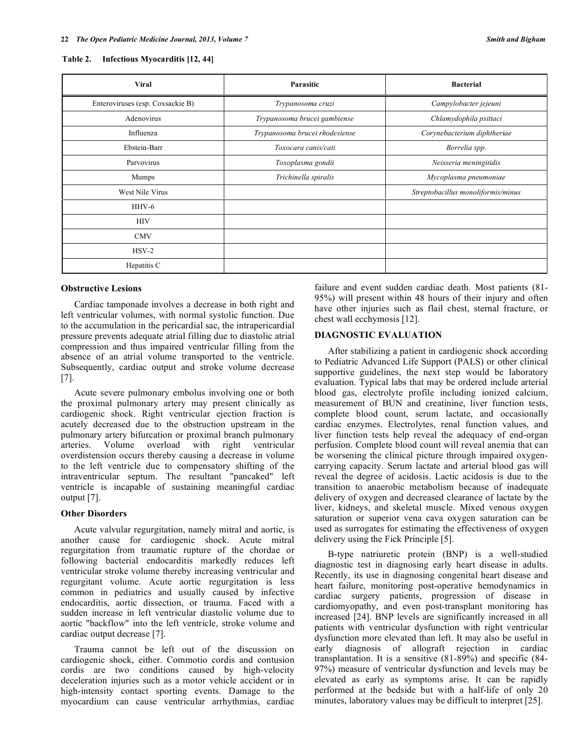#### **Table 2. Infectious Myocarditis [12, 44]**

| <b>Viral</b>                     | Parasitic                      | <b>Bacterial</b>                   |  |
|----------------------------------|--------------------------------|------------------------------------|--|
| Enteroviruses (esp. Coxsackie B) | Trypanosoma cruzi              | Campylobacter jejeuni              |  |
| Adenovirus                       | Trypanosoma brucei gambiense   | Chlamydophila psittaci             |  |
| Influenza                        | Trypanosoma brucei rhodesiense | Corynebacterium diphtheriae        |  |
| Ebstein-Barr                     | Toxocara canis/cati            | Borrelia spp.                      |  |
| Parvovirus                       | Toxoplasma gondii              | Neisseria meningitidis             |  |
| <b>Mumps</b>                     | Trichinella spiralis           | Mycoplasma pneumoniae              |  |
| West Nile Virus                  |                                | Streptobacillus monoliformis/minus |  |
| $HHV-6$                          |                                |                                    |  |
| <b>HIV</b>                       |                                |                                    |  |
| <b>CMV</b>                       |                                |                                    |  |
| $HSV-2$                          |                                |                                    |  |
| Hepatitis C                      |                                |                                    |  |

## **Obstructive Lesions**

 Cardiac tamponade involves a decrease in both right and left ventricular volumes, with normal systolic function. Due to the accumulation in the pericardial sac, the intrapericardial pressure prevents adequate atrial filling due to diastolic atrial compression and thus impaired ventricular filling from the absence of an atrial volume transported to the ventricle. Subsequently, cardiac output and stroke volume decrease  $|7|$ .

 Acute severe pulmonary embolus involving one or both the proximal pulmonary artery may present clinically as cardiogenic shock. Right ventricular ejection fraction is acutely decreased due to the obstruction upstream in the pulmonary artery bifurcation or proximal branch pulmonary arteries. Volume overload with right ventricular overdistension occurs thereby causing a decrease in volume to the left ventricle due to compensatory shifting of the intraventricular septum. The resultant "pancaked" left ventricle is incapable of sustaining meaningful cardiac output [7].

## **Other Disorders**

 Acute valvular regurgitation, namely mitral and aortic, is another cause for cardiogenic shock. Acute mitral regurgitation from traumatic rupture of the chordae or following bacterial endocarditis markedly reduces left ventricular stroke volume thereby increasing ventricular and regurgitant volume. Acute aortic regurgitation is less common in pediatrics and usually caused by infective endocarditis, aortic dissection, or trauma. Faced with a sudden increase in left ventricular diastolic volume due to aortic "backflow" into the left ventricle, stroke volume and cardiac output decrease [7].

 Trauma cannot be left out of the discussion on cardiogenic shock, either. Commotio cordis and contusion cordis are two conditions caused by high-velocity deceleration injuries such as a motor vehicle accident or in high-intensity contact sporting events. Damage to the myocardium can cause ventricular arrhythmias, cardiac

failure and event sudden cardiac death. Most patients (81- 95%) will present within 48 hours of their injury and often have other injuries such as flail chest, sternal fracture, or chest wall ecchymosis [12].

## **DIAGNOSTIC EVALUATION**

 After stabilizing a patient in cardiogenic shock according to Pediatric Advanced Life Support (PALS) or other clinical supportive guidelines, the next step would be laboratory evaluation. Typical labs that may be ordered include arterial blood gas, electrolyte profile including ionized calcium, measurement of BUN and creatinine, liver function tests, complete blood count, serum lactate, and occasionally cardiac enzymes. Electrolytes, renal function values, and liver function tests help reveal the adequacy of end-organ perfusion. Complete blood count will reveal anemia that can be worsening the clinical picture through impaired oxygencarrying capacity. Serum lactate and arterial blood gas will reveal the degree of acidosis. Lactic acidosis is due to the transition to anaerobic metabolism because of inadequate delivery of oxygen and decreased clearance of lactate by the liver, kidneys, and skeletal muscle. Mixed venous oxygen saturation or superior vena cava oxygen saturation can be used as surrogates for estimating the effectiveness of oxygen delivery using the Fick Principle [5].

 B-type natriuretic protein (BNP) is a well-studied diagnostic test in diagnosing early heart disease in adults. Recently, its use in diagnosing congenital heart disease and heart failure, monitoring post-operative hemodynamics in cardiac surgery patients, progression of disease in cardiomyopathy, and even post-transplant monitoring has increased [24]. BNP levels are significantly increased in all patients with ventricular dysfunction with right ventricular dysfunction more elevated than left. It may also be useful in early diagnosis of allograft rejection in cardiac transplantation. It is a sensitive (81-89%) and specific (84- 97%) measure of ventricular dysfunction and levels may be elevated as early as symptoms arise. It can be rapidly performed at the bedside but with a half-life of only 20 minutes, laboratory values may be difficult to interpret [25].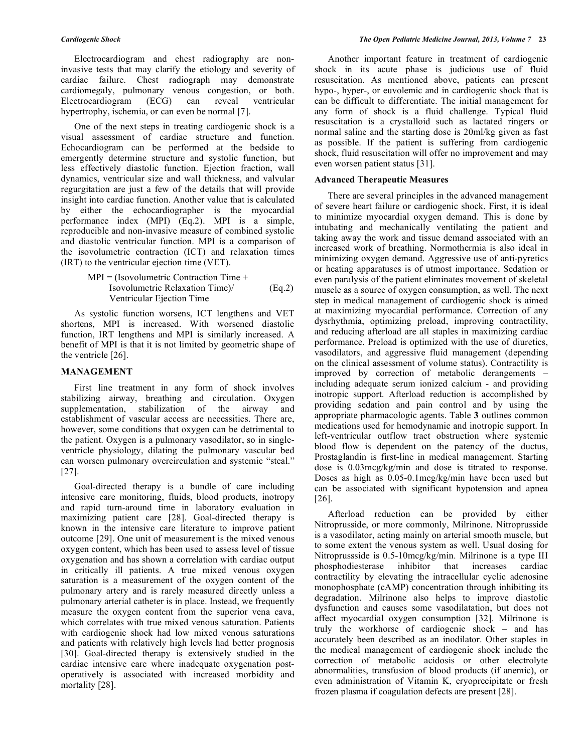Electrocardiogram and chest radiography are noninvasive tests that may clarify the etiology and severity of cardiac failure. Chest radiograph may demonstrate cardiomegaly, pulmonary venous congestion, or both. Electrocardiogram (ECG) can reveal ventricular hypertrophy, ischemia, or can even be normal [7].

 One of the next steps in treating cardiogenic shock is a visual assessment of cardiac structure and function. Echocardiogram can be performed at the bedside to emergently determine structure and systolic function, but less effectively diastolic function. Ejection fraction, wall dynamics, ventricular size and wall thickness, and valvular regurgitation are just a few of the details that will provide insight into cardiac function. Another value that is calculated by either the echocardiographer is the myocardial performance index (MPI) (Eq.2). MPI is a simple, reproducible and non-invasive measure of combined systolic and diastolic ventricular function. MPI is a comparison of the isovolumetric contraction (ICT) and relaxation times (IRT) to the ventricular ejection time (VET).

$$
MPI = (Isovolumetric Contraction Time +\nIsovolumetric Relaxation Time) /\nVentricular Ejection Time
$$
\n(Eq.2)

 As systolic function worsens, ICT lengthens and VET shortens, MPI is increased. With worsened diastolic function, IRT lengthens and MPI is similarly increased. A benefit of MPI is that it is not limited by geometric shape of the ventricle [26].

## **MANAGEMENT**

 First line treatment in any form of shock involves stabilizing airway, breathing and circulation. Oxygen supplementation, stabilization of the airway and establishment of vascular access are necessities. There are, however, some conditions that oxygen can be detrimental to the patient. Oxygen is a pulmonary vasodilator, so in singleventricle physiology, dilating the pulmonary vascular bed can worsen pulmonary overcirculation and systemic "steal." [27].

 Goal-directed therapy is a bundle of care including intensive care monitoring, fluids, blood products, inotropy and rapid turn-around time in laboratory evaluation in maximizing patient care [28]. Goal-directed therapy is known in the intensive care literature to improve patient outcome [29]. One unit of measurement is the mixed venous oxygen content, which has been used to assess level of tissue oxygenation and has shown a correlation with cardiac output in critically ill patients. A true mixed venous oxygen saturation is a measurement of the oxygen content of the pulmonary artery and is rarely measured directly unless a pulmonary arterial catheter is in place. Instead, we frequently measure the oxygen content from the superior vena cava, which correlates with true mixed venous saturation. Patients with cardiogenic shock had low mixed venous saturations and patients with relatively high levels had better prognosis [30]. Goal-directed therapy is extensively studied in the cardiac intensive care where inadequate oxygenation postoperatively is associated with increased morbidity and mortality [28].

 Another important feature in treatment of cardiogenic shock in its acute phase is judicious use of fluid resuscitation. As mentioned above, patients can present hypo-, hyper-, or euvolemic and in cardiogenic shock that is can be difficult to differentiate. The initial management for any form of shock is a fluid challenge. Typical fluid resuscitation is a crystalloid such as lactated ringers or normal saline and the starting dose is 20ml/kg given as fast as possible. If the patient is suffering from cardiogenic shock, fluid resuscitation will offer no improvement and may even worsen patient status [31].

#### **Advanced Therapeutic Measures**

 There are several principles in the advanced management of severe heart failure or cardiogenic shock. First, it is ideal to minimize myocardial oxygen demand. This is done by intubating and mechanically ventilating the patient and taking away the work and tissue demand associated with an increased work of breathing. Normothermia is also ideal in minimizing oxygen demand. Aggressive use of anti-pyretics or heating apparatuses is of utmost importance. Sedation or even paralysis of the patient eliminates movement of skeletal muscle as a source of oxygen consumption, as well. The next step in medical management of cardiogenic shock is aimed at maximizing myocardial performance. Correction of any dysrhythmia, optimizing preload, improving contractility, and reducing afterload are all staples in maximizing cardiac performance. Preload is optimized with the use of diuretics, vasodilators, and aggressive fluid management (depending on the clinical assessment of volume status). Contractility is improved by correction of metabolic derangements – including adequate serum ionized calcium - and providing inotropic support. Afterload reduction is accomplished by providing sedation and pain control and by using the appropriate pharmacologic agents. Table **3** outlines common medications used for hemodynamic and inotropic support. In left-ventricular outflow tract obstruction where systemic blood flow is dependent on the patency of the ductus, Prostaglandin is first-line in medical management. Starting dose is 0.03mcg/kg/min and dose is titrated to response. Doses as high as 0.05-0.1mcg/kg/min have been used but can be associated with significant hypotension and apnea [26].

 Afterload reduction can be provided by either Nitroprusside, or more commonly, Milrinone. Nitroprusside is a vasodilator, acting mainly on arterial smooth muscle, but to some extent the venous system as well. Usual dosing for Nitroprussside is 0.5-10mcg/kg/min. Milrinone is a type III phosphodiesterase inhibitor that increases cardiac contractility by elevating the intracellular cyclic adenosine monophosphate (cAMP) concentration through inhibiting its degradation. Milrinone also helps to improve diastolic dysfunction and causes some vasodilatation, but does not affect myocardial oxygen consumption [32]. Milrinone is truly the workhorse of cardiogenic shock – and has accurately been described as an inodilator. Other staples in the medical management of cardiogenic shock include the correction of metabolic acidosis or other electrolyte abnormalities, transfusion of blood products (if anemic), or even administration of Vitamin K, cryoprecipitate or fresh frozen plasma if coagulation defects are present [28].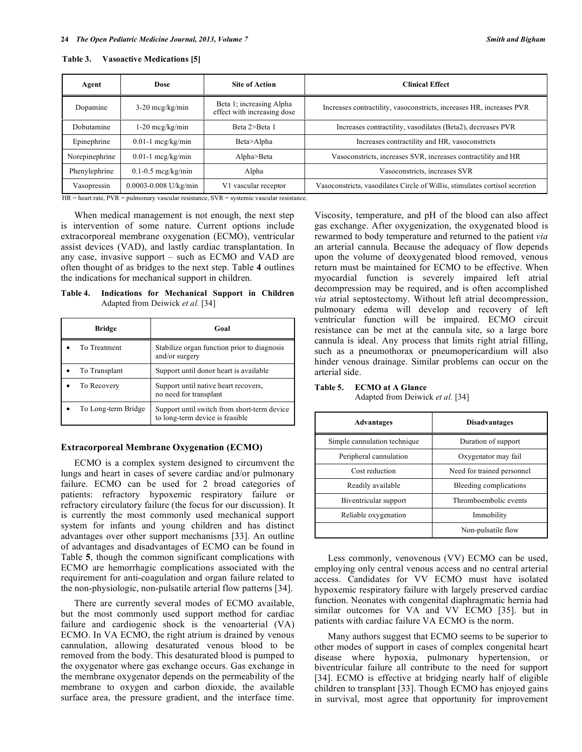| Table 3. |  | <b>Vasoactive Medications [5]</b> |  |
|----------|--|-----------------------------------|--|
|----------|--|-----------------------------------|--|

| Agent                       | Dose                                                                                                                                         | <b>Site of Action</b>                                                                                                                   | <b>Clinical Effect</b>                                                      |
|-----------------------------|----------------------------------------------------------------------------------------------------------------------------------------------|-----------------------------------------------------------------------------------------------------------------------------------------|-----------------------------------------------------------------------------|
| Dopamine                    | $3-20$ mcg/kg/min                                                                                                                            | Beta 1; increasing Alpha<br>effect with increasing dose                                                                                 | Increases contractility, vasoconstricts, increases HR, increases PVR        |
| Dobutamine                  | $1-20$ mcg/kg/min                                                                                                                            | Beta 2>Beta 1                                                                                                                           | Increases contractility, vasodilates (Beta2), decreases PVR                 |
| Epinephrine                 | $0.01-1$ mcg/kg/min                                                                                                                          | Beta>Alpha                                                                                                                              | Increases contractility and HR, vasoconstricts                              |
| Norepinephrine              | $0.01-1$ mcg/kg/min                                                                                                                          | Alpha>Beta                                                                                                                              | Vasoconstricts, increases SVR, increases contractility and HR               |
| Phenylephrine               | $0.1 - 0.5$ mcg/kg/min                                                                                                                       | Alpha                                                                                                                                   | Vasoconstricts, increases SVR                                               |
| Vasopressin<br>$\mathbf{r}$ | $0.0003 - 0.008$ U/kg/min<br>the contract of the contract of the contract of the contract of the contract of the contract of the contract of | V1 vascular receptor<br>the contract of the contract of the contract of the contract of the contract of the contract of the contract of | Vasoconstricts, vasodilates Circle of Willis, stimulates cortisol secretion |

HR = heart rate, PVR = pulmonary vascular resistance, SVR = systemic vascular resistance.

 When medical management is not enough, the next step is intervention of some nature. Current options include extracorporeal membrane oxygenation (ECMO), ventricular assist devices (VAD), and lastly cardiac transplantation. In any case, invasive support – such as ECMO and VAD are often thought of as bridges to the next step. Table **4** outlines the indications for mechanical support in children.

**Table 4. Indications for Mechanical Support in Children**  Adapted from Deiwick *et al.* [34]

| Bridge              | Goal                                                                           |
|---------------------|--------------------------------------------------------------------------------|
| To Treatment        | Stabilize organ function prior to diagnosis<br>and/or surgery                  |
| To Transplant       | Support until donor heart is available.                                        |
| To Recovery         | Support until native heart recovers,<br>no need for transplant                 |
| To Long-term Bridge | Support until switch from short-term device<br>to long-term device is feasible |

#### **Extracorporeal Membrane Oxygenation (ECMO)**

 ECMO is a complex system designed to circumvent the lungs and heart in cases of severe cardiac and/or pulmonary failure. ECMO can be used for 2 broad categories of patients: refractory hypoxemic respiratory failure or refractory circulatory failure (the focus for our discussion). It is currently the most commonly used mechanical support system for infants and young children and has distinct advantages over other support mechanisms [33]. An outline of advantages and disadvantages of ECMO can be found in Table **5**, though the common significant complications with ECMO are hemorrhagic complications associated with the requirement for anti-coagulation and organ failure related to the non-physiologic, non-pulsatile arterial flow patterns [34].

 There are currently several modes of ECMO available, but the most commonly used support method for cardiac failure and cardiogenic shock is the venoarterial (VA) ECMO. In VA ECMO, the right atrium is drained by venous cannulation, allowing desaturated venous blood to be removed from the body. This desaturated blood is pumped to the oxygenator where gas exchange occurs. Gas exchange in the membrane oxygenator depends on the permeability of the membrane to oxygen and carbon dioxide, the available surface area, the pressure gradient, and the interface time.

Viscosity, temperature, and pH of the blood can also affect gas exchange. After oxygenization, the oxygenated blood is rewarmed to body temperature and returned to the patient *via*  an arterial cannula. Because the adequacy of flow depends upon the volume of deoxygenated blood removed, venous return must be maintained for ECMO to be effective. When myocardial function is severely impaired left atrial decompression may be required, and is often accomplished *via* atrial septostectomy. Without left atrial decompression, pulmonary edema will develop and recovery of left ventricular function will be impaired. ECMO circuit resistance can be met at the cannula site, so a large bore cannula is ideal. Any process that limits right atrial filling, such as a pneumothorax or pneumopericardium will also hinder venous drainage. Similar problems can occur on the arterial side.

# **Table 5. ECMO at A Glance**

Adapted from Deiwick *et al.* [34]

| Advantages                   | <b>Disadvantages</b>       |  |
|------------------------------|----------------------------|--|
| Simple cannulation technique | Duration of support        |  |
| Peripheral cannulation       | Oxygenator may fail        |  |
| Cost reduction               | Need for trained personnel |  |
| Readily available            | Bleeding complications     |  |
| Biventricular support        | Thromboembolic events      |  |
| Reliable oxygenation         | Immobility                 |  |
|                              | Non-pulsatile flow         |  |

 Less commonly, venovenous (VV) ECMO can be used, employing only central venous access and no central arterial access. Candidates for VV ECMO must have isolated hypoxemic respiratory failure with largely preserved cardiac function. Neonates with congenital diaphragmatic hernia had similar outcomes for VA and VV ECMO [35]. but in patients with cardiac failure VA ECMO is the norm.

 Many authors suggest that ECMO seems to be superior to other modes of support in cases of complex congenital heart disease where hypoxia, pulmonary hypertension, or biventricular failure all contribute to the need for support [34]. ECMO is effective at bridging nearly half of eligible children to transplant [33]. Though ECMO has enjoyed gains in survival, most agree that opportunity for improvement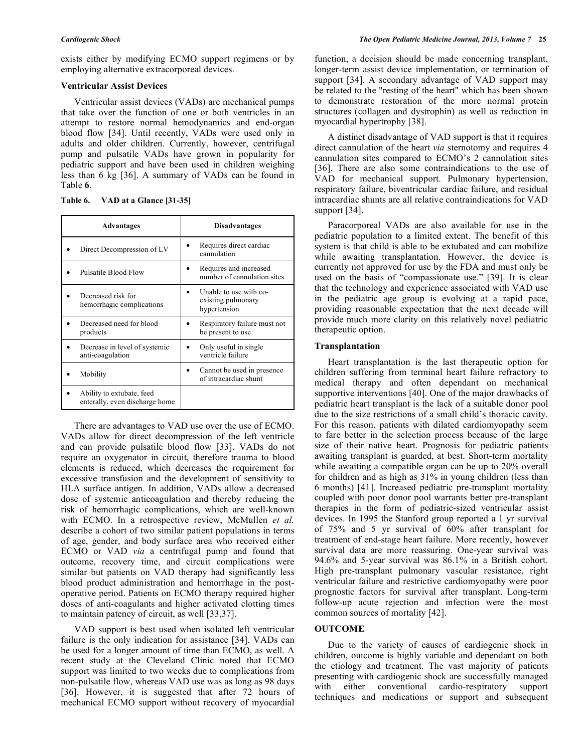exists either by modifying ECMO support regimens or by employing alternative extracorporeal devices.

# **Ventricular Assist Devices**

 Ventricular assist devices (VADs) are mechanical pumps that take over the function of one or both ventricles in an attempt to restore normal hemodynamics and end-organ blood flow [34]. Until recently, VADs were used only in adults and older children. Currently, however, centrifugal pump and pulsatile VADs have grown in popularity for pediatric support and have been used in children weighing less than 6 kg [36]. A summary of VADs can be found in Table **6**.

| Table 6. |  |  | VAD at a Glance [31-35] |  |
|----------|--|--|-------------------------|--|
|----------|--|--|-------------------------|--|

| Advantages                                                  | <b>Disadvantages</b>                                         |
|-------------------------------------------------------------|--------------------------------------------------------------|
| Direct Decompression of LV                                  | Requires direct cardiac<br>cannulation                       |
| Pulsatile Blood Flow                                        | Requires and increased<br>number of cannulation sites        |
| Decreased risk for<br>hemorrhagic complications             | Unable to use with co-<br>existing pulmonary<br>hypertension |
| Decreased need for blood<br>products                        | Respiratory failure must not<br>be present to use            |
| Decrease in level of systemic<br>anti-coagulation           | Only useful in single<br>ventricle failure                   |
| Mobility                                                    | Cannot be used in presence<br>of intracardiac shunt          |
| Ability to extubate, feed<br>enterally, even discharge home |                                                              |

 There are advantages to VAD use over the use of ECMO. VADs allow for direct decompression of the left ventricle and can provide pulsatile blood flow [33]. VADs do not require an oxygenator in circuit, therefore trauma to blood elements is reduced, which decreases the requirement for excessive transfusion and the development of sensitivity to HLA surface antigen. In addition, VADs allow a decreased dose of systemic anticoagulation and thereby reducing the risk of hemorrhagic complications, which are well-known with ECMO. In a retrospective review, McMullen *et al.*  describe a cohort of two similar patient populations in terms of age, gender, and body surface area who received either ECMO or VAD *via* a centrifugal pump and found that outcome, recovery time, and circuit complications were similar but patients on VAD therapy had significantly less blood product administration and hemorrhage in the postoperative period. Patients on ECMO therapy required higher doses of anti-coagulants and higher activated clotting times to maintain patency of circuit, as well [33,37].

 VAD support is best used when isolated left ventricular failure is the only indication for assistance [34]. VADs can be used for a longer amount of time than ECMO, as well. A recent study at the Cleveland Clinic noted that ECMO support was limited to two weeks due to complications from non-pulsatile flow, whereas VAD use was as long as 98 days [36]. However, it is suggested that after 72 hours of mechanical ECMO support without recovery of myocardial

function, a decision should be made concerning transplant, longer-term assist device implementation, or termination of support [34]. A secondary advantage of VAD support may be related to the "resting of the heart" which has been shown to demonstrate restoration of the more normal protein structures (collagen and dystrophin) as well as reduction in myocardial hypertrophy [38].

 A distinct disadvantage of VAD support is that it requires direct cannulation of the heart *via* sternotomy and requires 4 cannulation sites compared to ECMO's 2 cannulation sites [36]. There are also some contraindications to the use of VAD for mechanical support. Pulmonary hypertension, respiratory failure, biventricular cardiac failure, and residual intracardiac shunts are all relative contraindications for VAD support [34].

 Paracorporeal VADs are also available for use in the pediatric population to a limited extent. The benefit of this system is that child is able to be extubated and can mobilize while awaiting transplantation. However, the device is currently not approved for use by the FDA and must only be used on the basis of "compassionate use." [39]. It is clear that the technology and experience associated with VAD use in the pediatric age group is evolving at a rapid pace, providing reasonable expectation that the next decade will provide much more clarity on this relatively novel pediatric therapeutic option.

## **Transplantation**

 Heart transplantation is the last therapeutic option for children suffering from terminal heart failure refractory to medical therapy and often dependant on mechanical supportive interventions [40]. One of the major drawbacks of pediatric heart transplant is the lack of a suitable donor pool due to the size restrictions of a small child's thoracic cavity. For this reason, patients with dilated cardiomyopathy seem to fare better in the selection process because of the large size of their native heart. Prognosis for pediatric patients awaiting transplant is guarded, at best. Short-term mortality while awaiting a compatible organ can be up to 20% overall for children and as high as 31% in young children (less than 6 months) [41]. Increased pediatric pre-transplant mortality coupled with poor donor pool warrants better pre-transplant therapies in the form of pediatric-sized ventricular assist devices. In 1995 the Stanford group reported a 1 yr survival of 75% and 5 yr survival of 60% after transplant for treatment of end-stage heart failure. More recently, however survival data are more reassuring. One-year survival was 94.6% and 5-year survival was 86.1% in a British cohort. High pre-transplant pulmonary vascular resistance, right ventricular failure and restrictive cardiomyopathy were poor prognostic factors for survival after transplant. Long-term follow-up acute rejection and infection were the most common sources of mortality [42].

## **OUTCOME**

 Due to the variety of causes of cardiogenic shock in children, outcome is highly variable and dependant on both the etiology and treatment. The vast majority of patients presenting with cardiogenic shock are successfully managed with either conventional cardio-respiratory support techniques and medications or support and subsequent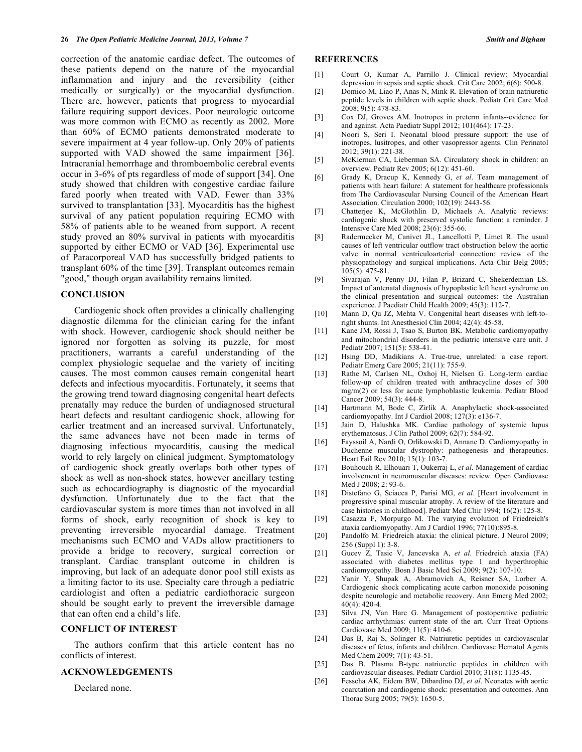correction of the anatomic cardiac defect. The outcomes of these patients depend on the nature of the myocardial inflammation and injury and the reversibility (either medically or surgically) or the myocardial dysfunction. There are, however, patients that progress to myocardial failure requiring support devices. Poor neurologic outcome was more common with ECMO as recently as 2002. More than 60% of ECMO patients demonstrated moderate to severe impairment at 4 year follow-up. Only 20% of patients supported with VAD showed the same impairment [36]. Intracranial hemorrhage and thromboembolic cerebral events occur in 3-6% of pts regardless of mode of support [34]. One study showed that children with congestive cardiac failure fared poorly when treated with VAD. Fewer than 33% survived to transplantation [33]. Myocarditis has the highest survival of any patient population requiring ECMO with 58% of patients able to be weaned from support. A recent study proved an 80% survival in patients with myocarditis supported by either ECMO or VAD [36]. Experimental use of Paracorporeal VAD has successfully bridged patients to transplant 60% of the time [39]. Transplant outcomes remain "good," though organ availability remains limited.

#### **CONCLUSION**

 Cardiogenic shock often provides a clinically challenging diagnostic dilemma for the clinician caring for the infant with shock. However, cardiogenic shock should neither be ignored nor forgotten as solving its puzzle, for most practitioners, warrants a careful understanding of the complex physiologic sequelae and the variety of inciting causes. The most common causes remain congenital heart defects and infectious myocarditis. Fortunately, it seems that the growing trend toward diagnosing congenital heart defects prenatally may reduce the burden of undiagnosed structural heart defects and resultant cardiogenic shock, allowing for earlier treatment and an increased survival. Unfortunately, the same advances have not been made in terms of diagnosing infectious myocarditis, causing the medical world to rely largely on clinical judgment. Symptomatology of cardiogenic shock greatly overlaps both other types of shock as well as non-shock states, however ancillary testing such as echocardiography is diagnostic of the myocardial dysfunction. Unfortunately due to the fact that the cardiovascular system is more times than not involved in all forms of shock, early recognition of shock is key to preventing irreversible myocardial damage. Treatment mechanisms such ECMO and VADs allow practitioners to provide a bridge to recovery, surgical correction or transplant. Cardiac transplant outcome in children is improving, but lack of an adequate donor pool still exists as a limiting factor to its use. Specialty care through a pediatric cardiologist and often a pediatric cardiothoracic surgeon should be sought early to prevent the irreversible damage that can often end a child's life.

## **CONFLICT OF INTEREST**

 The authors confirm that this article content has no conflicts of interest.

#### **ACKNOWLEDGEMENTS**

Declared none.

#### **REFERENCES**

- [1] Court O, Kumar A, Parrillo J. Clinical review: Myocardial depression in sepsis and septic shock. Crit Care 2002; 6(6): 500-8.
- [2] Domico M, Liao P, Anas N, Mink R. Elevation of brain natriuretic peptide levels in children with septic shock. Pediatr Crit Care Med 2008; 9(5): 478-83.
- [3] Cox DJ, Groves AM. Inotropes in preterm infants--evidence for and against. Acta Paediatr Suppl 2012; 101(464): 17-23.
- [4] Noori S, Seri I. Neonatal blood pressure support: the use of inotropes, lusitropes, and other vasopressor agents. Clin Perinatol 2012; 39(1): 221-38.
- [5] McKiernan CA, Lieberman SA. Circulatory shock in children: an overview. Pediatr Rev 2005; 6(12): 451-60.
- [6] Grady K, Dracup K, Kennedy G, *et al*. Team management of patients with heart failure: A statement for healthcare professionals from The Cardiovascular Nursing Council of the American Heart Association. Circulation 2000; 102(19): 2443-56.
- [7] Chatterjee K, McGlothlin D, Michaels A. Analytic reviews: cardiogenic shock with preserved systolic function: a reminder. J Intensive Care Med 2008; 23(6): 355-66.
- [8] Radermecker M, Canivet JL, Lancellotti P, Limet R. The usual causes of left ventricular outflow tract obstruction below the aortic valve in normal ventriculoarterial connection: review of the physiopathology and surgical implications. Acta Chir Belg 2005; 105(5): 475-81.
- [9] Sivarajan V, Penny DJ, Filan P, Brizard C, Shekerdemian LS. Impact of antenatal diagnosis of hypoplastic left heart syndrome on the clinical presentation and surgical outcomes: the Australian experience. J Paediatr Child Health 2009; 45(3): 112-7.
- [10] Mann D, Qu JZ, Mehta V. Congenital heart diseases with left-toright shunts. Int Anesthesiol Clin 2004; 42(4): 45-58.
- [11] Kane JM, Rossi J, Tsao S, Burton BK. Metabolic cardiomyopathy and mitochondrial disorders in the pediatric intensive care unit. J Pediatr 2007; 151(5): 538-41.
- [12] Hsing DD, Madikians A. True-true, unrelated: a case report. Pediatr Emerg Care 2005; 21(11): 755-9.
- [13] Rathe M, Carlsen NL, Oxhoj H, Nielsen G. Long-term cardiac follow-up of children treated with anthracycline doses of 300 mg/m(2) or less for acute lymphoblastic leukemia. Pediatr Blood Cancer 2009; 54(3): 444-8.
- [14] Hartmann M, Bode C, Zirlik A. Anaphylactic shock-associated cardiomyopathy. Int J Cardiol 2008; 127(3): e136-7.
- [15] Jain D, Halushka MK. Cardiac pathology of systemic lupus erythematosus. J Clin Pathol 2009; 62(7): 584-92.
- [16] Fayssoil A, Nardi O, Orlikowski D, Annane D. Cardiomyopathy in Duchenne muscular dystrophy: pathogenesis and therapeutics. Heart Fail Rev 2010; 15(1): 103-7.
- [17] Bouhouch R, Elhouari T, Oukerraj L, *et al*. Management of cardiac involvement in neuromuscular diseases: review. Open Cardiovasc Med J 2008; 2: 93-6.
- [18] Distefano G, Sciacca P, Parisi MG, *et al*. [Heart involvement in progressive spinal muscular atrophy. A review of the literature and case histories in childhood]. Pediatr Med Chir 1994; 16(2): 125-8.
- [19] Casazza F, Morpurgo M. The varying evolution of Friedreich's ataxia cardiomyopathy. Am J Cardiol 1996; 77(10):895-8.
- [20] Pandolfo M. Friedreich ataxia: the clinical picture. J Neurol 2009; 256 (Suppl 1): 3-8.
- [21] Gucev Z, Tasic V, Jancevska A, *et al*. Friedreich ataxia (FA) associated with diabetes mellitus type 1 and hyperthrophic cardiomyopathy. Bosn J Basic Med Sci 2009; 9(2): 107-10.
- [22] Yanir Y, Shupak A, Abramovich A, Reisner SA, Lorber A. Cardiogenic shock complicating acute carbon monoxide poisoning despite neurologic and metabolic recovery. Ann Emerg Med 2002;  $40(4)$ : 420-4.
- [23] Silva JN, Van Hare G. Management of postoperative pediatric cardiac arrhythmias: current state of the art. Curr Treat Options Cardiovasc Med 2009; 11(5): 410-6.
- [24] Das B, Raj S, Solinger R. Natriuretic peptides in cardiovascular diseases of fetus, infants and children. Cardiovasc Hematol Agents Med Chem 2009; 7(1): 43-51.
- [25] Das B. Plasma B-type natriuretic peptides in children with cardiovascular diseases. Pediatr Cardiol 2010; 31(8): 1135-45.
- [26] Fesseha AK, Eidem BW, Dibardino DJ, *et al*. Neonates with aortic coarctation and cardiogenic shock: presentation and outcomes. Ann Thorac Surg 2005; 79(5): 1650-5.